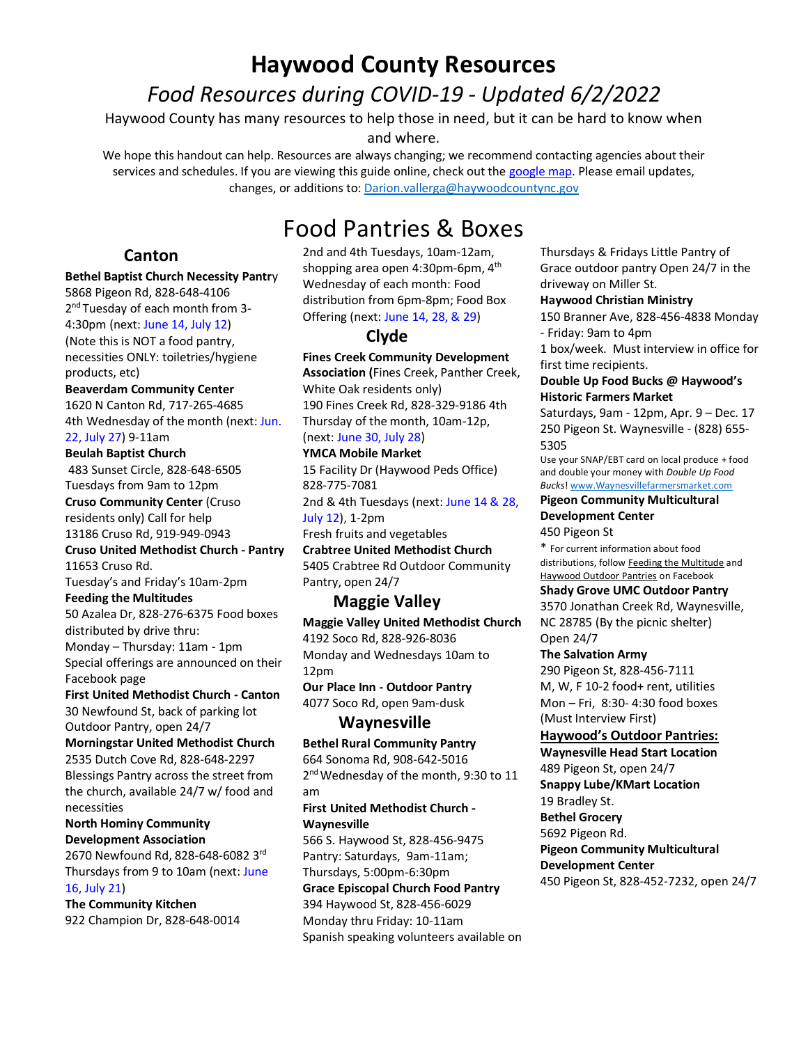# **Haywood County Resources** *Food Resources during COVID-19 - Updated 6/2/2022*

Haywood County has many resources to help those in need, but it can be hard to know when

and where.

We hope this handout can help. Resources are always changing; we recommend contacting agencies about their services and schedules. If you are viewing this guide online, check out the [google map.](https://www.google.com/maps/d/viewer?ll=35.55044907249288%2C-82.79839179999999&z=11&mid=1a9A00yCuq6Y0wBTnmS49H26qpK6C58fq) Please email updates, changes, or additions to: [Darion.vallerga@haywoodcountync.gov](mailto:Darion.vallerga@haywoodcountync.gov)

# Food Pantries & Boxes

### **Canton**

#### **Bethel Baptist Church Necessity Pantr**y

5868 Pigeon Rd, 828-648-4106 2<sup>nd</sup> Tuesday of each month from 3-4:30pm (next: June 14, July 12) (Note this is NOT a food pantry, necessities ONLY: toiletries/hygiene products, etc)

#### **Beaverdam Community Center**

1620 N Canton Rd, 717-265-4685 4th Wednesday of the month (next: Jun. 22, July 27) 9-11am

#### **Beulah Baptist Church**

483 Sunset Circle, 828-648-6505 Tuesdays from 9am to 12pm

**Cruso Community Center** (Cruso residents only) Call for help 13186 Cruso Rd, 919-949-0943

**Cruso United Methodist Church - Pantry** 11653 Cruso Rd.

Tuesday's and Friday's 10am-2pm

#### **Feeding the Multitudes**

50 Azalea Dr, 828-276-6375 Food boxes distributed by drive thru: Monday – Thursday: 11am - 1pm Special offerings are announced on their Facebook page

#### **First United Methodist Church - Canton**

30 Newfound St, back of parking lot Outdoor Pantry, open 24/7

#### **Morningstar United Methodist Church** 2535 Dutch Cove Rd, 828-648-2297 Blessings Pantry across the street from the church, available 24/7 w/ food and

necessities

#### **North Hominy Community Development Association**

2670 Newfound Rd, 828-648-6082 3rd Thursdays from 9 to 10am (next: June 16, July 21)

**The Community Kitchen** 922 Champion Dr, 828-648-0014

2nd and 4th Tuesdays, 10am-12am, shopping area open 4:30pm-6pm, 4<sup>th</sup> Wednesday of each month: Food distribution from 6pm-8pm; Food Box Offering (next: June 14, 28, & 29)

## **Clyde**

**Fines Creek Community Development Association (**Fines Creek, Panther Creek, White Oak residents only) 190 Fines Creek Rd, 828-329-9186 4th Thursday of the month, 10am-12p, (next: June 30, July 28)

# **YMCA Mobile Market**

15 Facility Dr (Haywood Peds Office) 828-775-7081 2nd & 4th Tuesdays (next: June 14 & 28, July 12), 1-2pm Fresh fruits and vegetables

**Crabtree United Methodist Church** 5405 Crabtree Rd Outdoor Community Pantry, open 24/7

## **Maggie Valley**

**Maggie Valley United Methodist Church** 4192 Soco Rd, 828-926-8036 Monday and Wednesdays 10am to 12pm

**Our Place Inn - Outdoor Pantry** 4077 Soco Rd, open 9am-dusk

### **Waynesville**

**Bethel Rural Community Pantry** 664 Sonoma Rd, 908-642-5016 2<sup>nd</sup> Wednesday of the month, 9:30 to 11 am

#### **First United Methodist Church - Waynesville**

566 S. Haywood St, 828-456-9475 Pantry: Saturdays, 9am-11am; Thursdays, 5:00pm-6:30pm **Grace Episcopal Church Food Pantry** 394 Haywood St, 828-456-6029 Monday thru Friday: 10-11am Spanish speaking volunteers available on Thursdays & Fridays Little Pantry of Grace outdoor pantry Open 24/7 in the driveway on Miller St.

#### **Haywood Christian Ministry**

150 Branner Ave, 828-456-4838 Monday - Friday: 9am to 4pm

1 box/week. Must interview in office for first time recipients.

#### **Double Up Food Bucks @ Haywood's Historic Farmers Market**

Saturdays, 9am - 12pm, Apr. 9 – Dec. 17 250 Pigeon St. Waynesville - (828) 655- 5305

Use your SNAP/EBT card on local produce + food and double your money with *Double Up Food Bucks*! [www.Waynesvillefarmersmarket.com](http://www.waynesvillefarmersmarket.com/)

#### **Pigeon Community Multicultural Development Center**

450 Pigeon St

\* For current information about food distributions, follow Feeding the Multitude and Haywood Outdoor Pantries on Facebook

#### **Shady Grove UMC Outdoor Pantry**

3570 Jonathan Creek Rd, Waynesville, NC 28785 (By the picnic shelter) Open 24/7

### **The Salvation Army**

290 Pigeon St, 828-456-7111 M, W, F 10-2 food+ rent, utilities Mon – Fri, 8:30- 4:30 food boxes (Must Interview First)

#### **Haywood's Outdoor Pantries:**

**Waynesville Head Start Location** 489 Pigeon St, open 24/7 **Snappy Lube/KMart Location** 19 Bradley St. **Bethel Grocery**  5692 Pigeon Rd. **Pigeon Community Multicultural Development Center** 450 Pigeon St, 828-452-7232, open 24/7